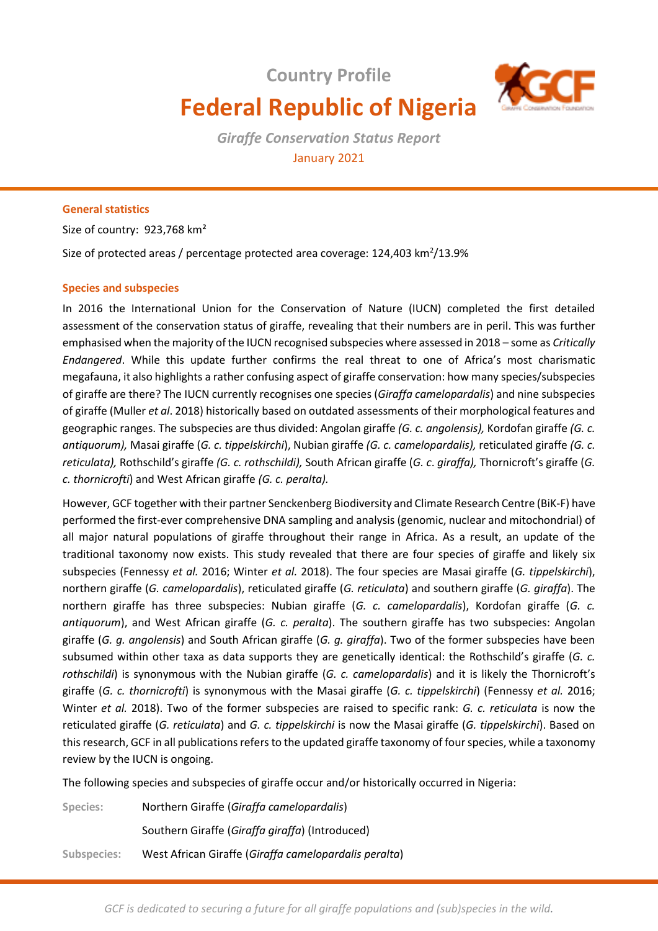# **Country Profile Federal Republic of Nigeria**



*Giraffe Conservation Status Report*  January 2021

# **General statistics**

Size of country: 923,768 km²

Size of protected areas / percentage protected area coverage: 124,403 km<sup>2</sup>/13.9%

# **Species and subspecies**

In 2016 the International Union for the Conservation of Nature (IUCN) completed the first detailed assessment of the conservation status of giraffe, revealing that their numbers are in peril. This was further emphasised when the majority of the IUCN recognised subspecies where assessed in 2018 – some as *Critically Endangered*. While this update further confirms the real threat to one of Africa's most charismatic megafauna, it also highlights a rather confusing aspect of giraffe conservation: how many species/subspecies of giraffe are there? The IUCN currently recognises one species (*Giraffa camelopardalis*) and nine subspecies of giraffe (Muller *et al*. 2018) historically based on outdated assessments of their morphological features and geographic ranges. The subspecies are thus divided: Angolan giraffe *(G. c. angolensis),* Kordofan giraffe *(G. c. antiquorum),* Masai giraffe (*G. c. tippelskirchi*), Nubian giraffe *(G. c. camelopardalis),* reticulated giraffe *(G. c. reticulata),* Rothschild's giraffe *(G. c. rothschildi),* South African giraffe (*G. c*. *giraffa),* Thornicroft's giraffe (*G. c. thornicrofti*) and West African giraffe *(G. c. peralta).* 

However, GCF together with their partner Senckenberg Biodiversity and Climate Research Centre (BiK-F) have performed the first-ever comprehensive DNA sampling and analysis (genomic, nuclear and mitochondrial) of all major natural populations of giraffe throughout their range in Africa. As a result, an update of the traditional taxonomy now exists. This study revealed that there are four species of giraffe and likely six subspecies (Fennessy *et al.* 2016; Winter *et al.* 2018). The four species are Masai giraffe (*G. tippelskirchi*), northern giraffe (*G. camelopardalis*), reticulated giraffe (*G. reticulata*) and southern giraffe (*G. giraffa*). The northern giraffe has three subspecies: Nubian giraffe (*G. c. camelopardalis*), Kordofan giraffe (*G. c. antiquorum*), and West African giraffe (*G. c. peralta*). The southern giraffe has two subspecies: Angolan giraffe (*G. g. angolensis*) and South African giraffe (*G. g. giraffa*). Two of the former subspecies have been subsumed within other taxa as data supports they are genetically identical: the Rothschild's giraffe (*G. c. rothschildi*) is synonymous with the Nubian giraffe (*G. c. camelopardalis*) and it is likely the Thornicroft's giraffe (*G. c. thornicrofti*) is synonymous with the Masai giraffe (*G. c. tippelskirchi*) (Fennessy *et al.* 2016; Winter *et al.* 2018). Two of the former subspecies are raised to specific rank: *G. c. reticulata* is now the reticulated giraffe (*G. reticulata*) and *G. c. tippelskirchi* is now the Masai giraffe (*G. tippelskirchi*). Based on this research, GCF in all publications refers to the updated giraffe taxonomy of four species, while a taxonomy review by the IUCN is ongoing.

The following species and subspecies of giraffe occur and/or historically occurred in Nigeria:

**Species:** Northern Giraffe (*Giraffa camelopardalis*) Southern Giraffe (*Giraffa giraffa*) (Introduced) **Subspecies:** West African Giraffe (*Giraffa camelopardalis peralta*)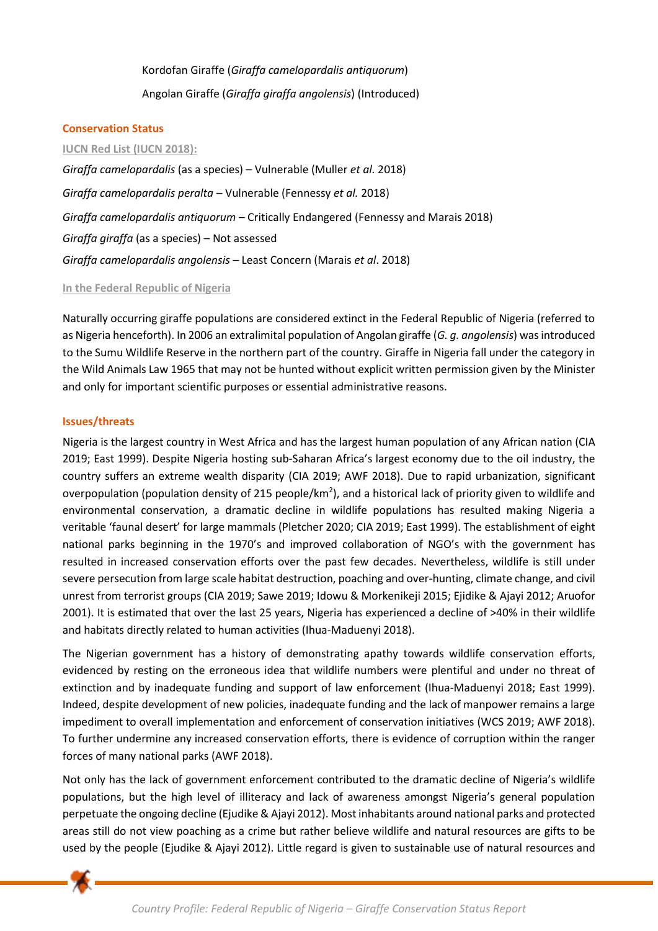Kordofan Giraffe (*Giraffa camelopardalis antiquorum*) Angolan Giraffe (*Giraffa giraffa angolensis*) (Introduced)

# **Conservation Status**

### **IUCN Red List (IUCN 2018):**

*Giraffa camelopardalis* (as a species) – Vulnerable (Muller *et al.* 2018) *Giraffa camelopardalis peralta* – Vulnerable (Fennessy *et al.* 2018) *Giraffa camelopardalis antiquorum* – Critically Endangered (Fennessy and Marais 2018) *Giraffa giraffa* (as a species) – Not assessed *Giraffa camelopardalis angolensis* – Least Concern (Marais *et al*. 2018)

# **In the Federal Republic of Nigeria**

Naturally occurring giraffe populations are considered extinct in the Federal Republic of Nigeria (referred to as Nigeria henceforth). In 2006 an extralimital population of Angolan giraffe (*G. g. angolensis*) was introduced to the Sumu Wildlife Reserve in the northern part of the country. Giraffe in Nigeria fall under the category in the Wild Animals Law 1965 that may not be hunted without explicit written permission given by the Minister and only for important scientific purposes or essential administrative reasons.

# **Issues/threats**

Nigeria is the largest country in West Africa and has the largest human population of any African nation (CIA 2019; East 1999). Despite Nigeria hosting sub-Saharan Africa's largest economy due to the oil industry, the country suffers an extreme wealth disparity (CIA 2019; AWF 2018). Due to rapid urbanization, significant overpopulation (population density of 215 people/km<sup>2</sup>), and a historical lack of priority given to wildlife and environmental conservation, a dramatic decline in wildlife populations has resulted making Nigeria a veritable 'faunal desert' for large mammals (Pletcher 2020; CIA 2019; East 1999). The establishment of eight national parks beginning in the 1970's and improved collaboration of NGO's with the government has resulted in increased conservation efforts over the past few decades. Nevertheless, wildlife is still under severe persecution from large scale habitat destruction, poaching and over-hunting, climate change, and civil unrest from terrorist groups (CIA 2019; Sawe 2019; Idowu & Morkenikeji 2015; Ejidike & Ajayi 2012; Aruofor 2001). It is estimated that over the last 25 years, Nigeria has experienced a decline of >40% in their wildlife and habitats directly related to human activities (Ihua-Maduenyi 2018).

The Nigerian government has a history of demonstrating apathy towards wildlife conservation efforts, evidenced by resting on the erroneous idea that wildlife numbers were plentiful and under no threat of extinction and by inadequate funding and support of law enforcement (Ihua-Maduenyi 2018; East 1999). Indeed, despite development of new policies, inadequate funding and the lack of manpower remains a large impediment to overall implementation and enforcement of conservation initiatives (WCS 2019; AWF 2018). To further undermine any increased conservation efforts, there is evidence of corruption within the ranger forces of many national parks (AWF 2018).

Not only has the lack of government enforcement contributed to the dramatic decline of Nigeria's wildlife populations, but the high level of illiteracy and lack of awareness amongst Nigeria's general population perpetuate the ongoing decline (Ejudike & Ajayi 2012). Most inhabitants around national parks and protected areas still do not view poaching as a crime but rather believe wildlife and natural resources are gifts to be used by the people (Ejudike & Ajayi 2012). Little regard is given to sustainable use of natural resources and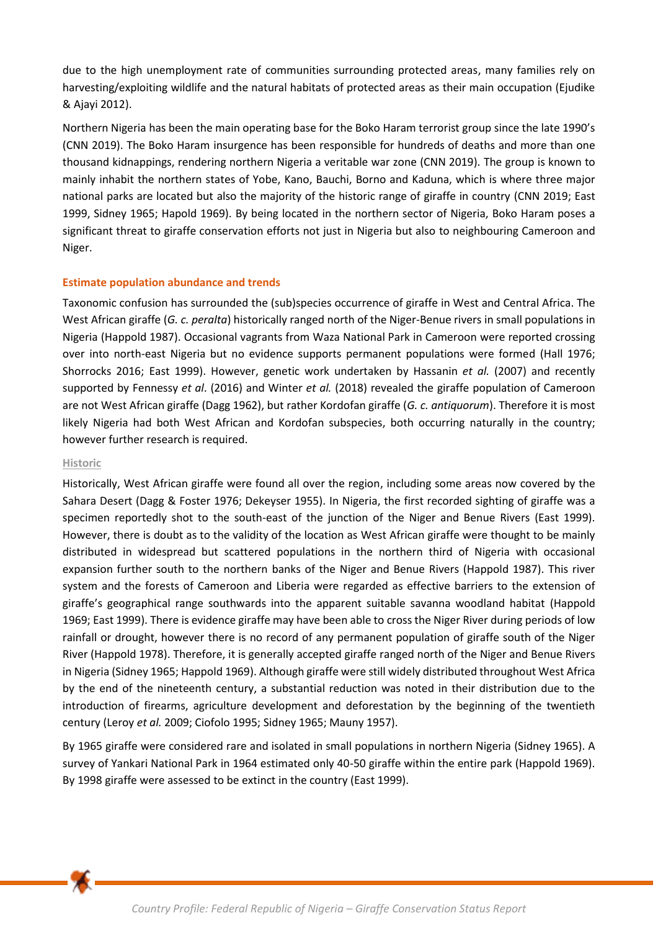due to the high unemployment rate of communities surrounding protected areas, many families rely on harvesting/exploiting wildlife and the natural habitats of protected areas as their main occupation (Ejudike & Ajayi 2012).

Northern Nigeria has been the main operating base for the Boko Haram terrorist group since the late 1990's (CNN 2019). The Boko Haram insurgence has been responsible for hundreds of deaths and more than one thousand kidnappings, rendering northern Nigeria a veritable war zone (CNN 2019). The group is known to mainly inhabit the northern states of Yobe, Kano, Bauchi, Borno and Kaduna, which is where three major national parks are located but also the majority of the historic range of giraffe in country (CNN 2019; East 1999, Sidney 1965; Hapold 1969). By being located in the northern sector of Nigeria, Boko Haram poses a significant threat to giraffe conservation efforts not just in Nigeria but also to neighbouring Cameroon and Niger.

# **Estimate population abundance and trends**

Taxonomic confusion has surrounded the (sub)species occurrence of giraffe in West and Central Africa. The West African giraffe (*G. c. peralta*) historically ranged north of the Niger-Benue rivers in small populations in Nigeria (Happold 1987). Occasional vagrants from Waza National Park in Cameroon were reported crossing over into north-east Nigeria but no evidence supports permanent populations were formed (Hall 1976; Shorrocks 2016; East 1999). However, genetic work undertaken by Hassanin *et al.* (2007) and recently supported by Fennessy *et al*. (2016) and Winter *et al.* (2018) revealed the giraffe population of Cameroon are not West African giraffe (Dagg 1962), but rather Kordofan giraffe (*G. c. antiquorum*). Therefore it is most likely Nigeria had both West African and Kordofan subspecies, both occurring naturally in the country; however further research is required.

## **Historic**

Historically, West African giraffe were found all over the region, including some areas now covered by the Sahara Desert (Dagg & Foster 1976; Dekeyser 1955). In Nigeria, the first recorded sighting of giraffe was a specimen reportedly shot to the south-east of the junction of the Niger and Benue Rivers (East 1999). However, there is doubt as to the validity of the location as West African giraffe were thought to be mainly distributed in widespread but scattered populations in the northern third of Nigeria with occasional expansion further south to the northern banks of the Niger and Benue Rivers (Happold 1987). This river system and the forests of Cameroon and Liberia were regarded as effective barriers to the extension of giraffe's geographical range southwards into the apparent suitable savanna woodland habitat (Happold 1969; East 1999). There is evidence giraffe may have been able to cross the Niger River during periods of low rainfall or drought, however there is no record of any permanent population of giraffe south of the Niger River (Happold 1978). Therefore, it is generally accepted giraffe ranged north of the Niger and Benue Rivers in Nigeria (Sidney 1965; Happold 1969). Although giraffe were still widely distributed throughout West Africa by the end of the nineteenth century, a substantial reduction was noted in their distribution due to the introduction of firearms, agriculture development and deforestation by the beginning of the twentieth century (Leroy *et al.* 2009; Ciofolo 1995; Sidney 1965; Mauny 1957).

By 1965 giraffe were considered rare and isolated in small populations in northern Nigeria (Sidney 1965). A survey of Yankari National Park in 1964 estimated only 40-50 giraffe within the entire park (Happold 1969). By 1998 giraffe were assessed to be extinct in the country (East 1999).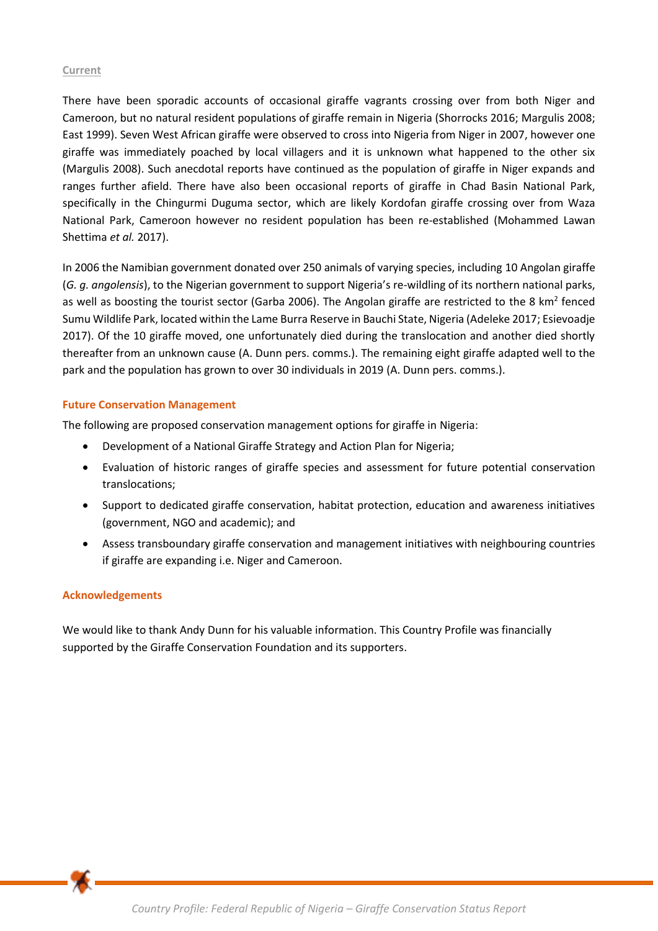#### **Current**

There have been sporadic accounts of occasional giraffe vagrants crossing over from both Niger and Cameroon, but no natural resident populations of giraffe remain in Nigeria (Shorrocks 2016; Margulis 2008; East 1999). Seven West African giraffe were observed to cross into Nigeria from Niger in 2007, however one giraffe was immediately poached by local villagers and it is unknown what happened to the other six (Margulis 2008). Such anecdotal reports have continued as the population of giraffe in Niger expands and ranges further afield. There have also been occasional reports of giraffe in Chad Basin National Park, specifically in the Chingurmi Duguma sector, which are likely Kordofan giraffe crossing over from Waza National Park, Cameroon however no resident population has been re-established (Mohammed Lawan Shettima *et al.* 2017).

In 2006 the Namibian government donated over 250 animals of varying species, including 10 Angolan giraffe (*G. g. angolensis*), to the Nigerian government to support Nigeria's re-wildling of its northern national parks, as well as boosting the tourist sector (Garba 2006). The Angolan giraffe are restricted to the 8 km<sup>2</sup> fenced Sumu Wildlife Park, located within the Lame Burra Reserve in Bauchi State, Nigeria (Adeleke 2017; Esievoadje 2017). Of the 10 giraffe moved, one unfortunately died during the translocation and another died shortly thereafter from an unknown cause (A. Dunn pers. comms.). The remaining eight giraffe adapted well to the park and the population has grown to over 30 individuals in 2019 (A. Dunn pers. comms.).

### **Future Conservation Management**

The following are proposed conservation management options for giraffe in Nigeria:

- Development of a National Giraffe Strategy and Action Plan for Nigeria;
- Evaluation of historic ranges of giraffe species and assessment for future potential conservation translocations;
- Support to dedicated giraffe conservation, habitat protection, education and awareness initiatives (government, NGO and academic); and
- Assess transboundary giraffe conservation and management initiatives with neighbouring countries if giraffe are expanding i.e. Niger and Cameroon.

### **Acknowledgements**

We would like to thank Andy Dunn for his valuable information. This Country Profile was financially supported by the Giraffe Conservation Foundation and its supporters.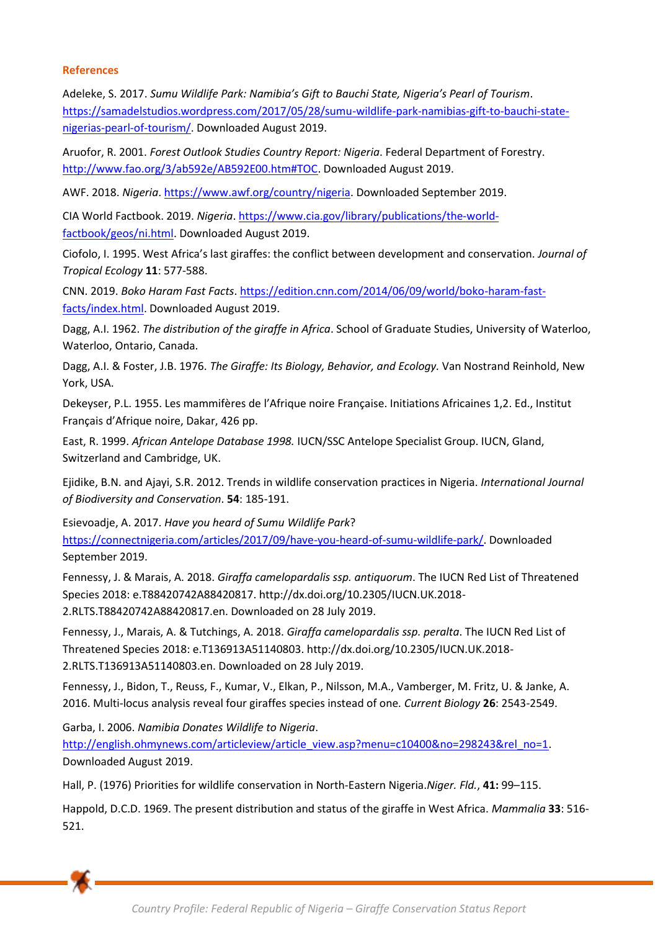### **References**

Adeleke, S. 2017. *Sumu Wildlife Park: Namibia's Gift to Bauchi State, Nigeria's Pearl of Tourism*. [https://samadelstudios.wordpress.com/2017/05/28/sumu-wildlife-park-namibias-gift-to-bauchi-state](https://samadelstudios.wordpress.com/2017/05/28/sumu-wildlife-park-namibias-gift-to-bauchi-state-nigerias-pearl-of-tourism/)[nigerias-pearl-of-tourism/.](https://samadelstudios.wordpress.com/2017/05/28/sumu-wildlife-park-namibias-gift-to-bauchi-state-nigerias-pearl-of-tourism/) Downloaded August 2019.

Aruofor, R. 2001. *Forest Outlook Studies Country Report: Nigeria*. Federal Department of Forestry. [http://www.fao.org/3/ab592e/AB592E00.htm#TOC.](http://www.fao.org/3/ab592e/AB592E00.htm#TOC) Downloaded August 2019.

AWF. 2018. *Nigeria*[. https://www.awf.org/country/nigeria.](https://www.awf.org/country/nigeria) Downloaded September 2019.

CIA World Factbook. 2019. *Nigeria*. [https://www.cia.gov/library/publications/the-world](https://www.cia.gov/library/publications/the-world-factbook/geos/ni.html)[factbook/geos/ni.html.](https://www.cia.gov/library/publications/the-world-factbook/geos/ni.html) Downloaded August 2019.

Ciofolo, I. 1995. West Africa's last giraffes: the conflict between development and conservation. *Journal of Tropical Ecology* **11**: 577-588.

CNN. 2019. *Boko Haram Fast Facts*. [https://edition.cnn.com/2014/06/09/world/boko-haram-fast](https://edition.cnn.com/2014/06/09/world/boko-haram-fast-facts/index.html)[facts/index.html.](https://edition.cnn.com/2014/06/09/world/boko-haram-fast-facts/index.html) Downloaded August 2019.

Dagg, A.I. 1962. *The distribution of the giraffe in Africa*. School of Graduate Studies, University of Waterloo, Waterloo, Ontario, Canada.

Dagg, A.I. & Foster, J.B. 1976. *The Giraffe: Its Biology, Behavior, and Ecology.* Van Nostrand Reinhold, New York, USA.

Dekeyser, P.L. 1955. Les mammifères de l'Afrique noire Française. Initiations Africaines 1,2. Ed., Institut Français d'Afrique noire, Dakar, 426 pp.

East, R. 1999. *African Antelope Database 1998.* IUCN/SSC Antelope Specialist Group. IUCN, Gland, Switzerland and Cambridge, UK.

Ejidike, B.N. and Ajayi, S.R. 2012. Trends in wildlife conservation practices in Nigeria. *International Journal of Biodiversity and Conservation*. **54**: 185-191.

Esievoadje, A. 2017. *Have you heard of Sumu Wildlife Park*? [https://connectnigeria.com/articles/2017/09/have-you-heard-of-sumu-wildlife-park/.](https://connectnigeria.com/articles/2017/09/have-you-heard-of-sumu-wildlife-park/) Downloaded September 2019.

Fennessy, J. & Marais, A. 2018. *Giraffa camelopardalis ssp. antiquorum*. The IUCN Red List of Threatened Species 2018: e.T88420742A88420817. http://dx.doi.org/10.2305/IUCN.UK.2018- 2.RLTS.T88420742A88420817.en. Downloaded on 28 July 2019.

Fennessy, J., Marais, A. & Tutchings, A. 2018. *Giraffa camelopardalis ssp. peralta*. The IUCN Red List of Threatened Species 2018: e.T136913A51140803. http://dx.doi.org/10.2305/IUCN.UK.2018- 2.RLTS.T136913A51140803.en. Downloaded on 28 July 2019.

Fennessy, J., Bidon, T., Reuss, F., Kumar, V., Elkan, P., Nilsson, M.A., Vamberger, M. Fritz, U. & Janke, A. 2016. Multi-locus analysis reveal four giraffes species instead of one*. Current Biology* **26**: 2543-2549.

Garba, I. 2006. *Namibia Donates Wildlife to Nigeria*.

[http://english.ohmynews.com/articleview/article\\_view.asp?menu=c10400&no=298243&rel\\_no=1.](http://english.ohmynews.com/articleview/article_view.asp?menu=c10400&no=298243&rel_no=1) Downloaded August 2019.

Hall, P. (1976) Priorities for wildlife conservation in North-Eastern Nigeria.*Niger. Fld.*, **41:** 99–115.

Happold, D.C.D. 1969. The present distribution and status of the giraffe in West Africa. *Mammalia* **33**: 516- 521.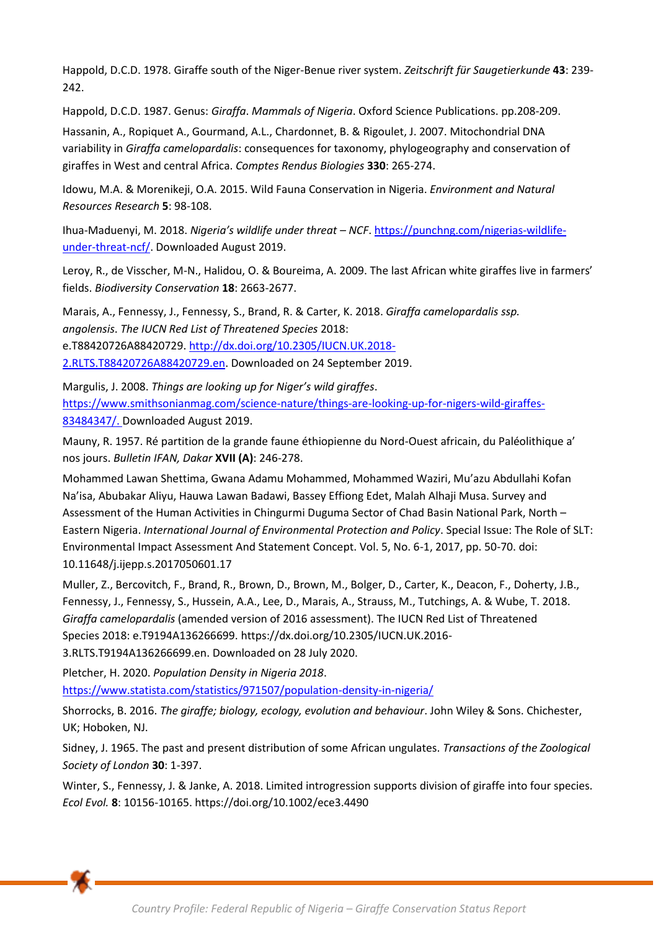Happold, D.C.D. 1978. Giraffe south of the Niger-Benue river system. *Zeitschrift für Saugetierkunde* **43**: 239- 242.

Happold, D.C.D. 1987. Genus: *Giraffa*. *Mammals of Nigeria*. Oxford Science Publications. pp.208-209.

Hassanin, A., Ropiquet A., Gourmand, A.L., Chardonnet, B. & Rigoulet, J. 2007. Mitochondrial DNA variability in *Giraffa camelopardalis*: consequences for taxonomy, phylogeography and conservation of giraffes in West and central Africa. *Comptes Rendus Biologies* **330**: 265-274.

Idowu, M.A. & Morenikeji, O.A. 2015. Wild Fauna Conservation in Nigeria. *Environment and Natural Resources Research* **5**: 98-108.

Ihua-Maduenyi, M. 2018. *Nigeria's wildlife under threat – NCF*[. https://punchng.com/nigerias-wildlife](https://punchng.com/nigerias-wildlife-under-threat-ncf/)[under-threat-ncf/.](https://punchng.com/nigerias-wildlife-under-threat-ncf/) Downloaded August 2019.

Leroy, R., de Visscher, M-N., Halidou, O. & Boureima, A. 2009. The last African white giraffes live in farmers' fields. *Biodiversity Conservation* **18**: 2663-2677.

Marais, A., Fennessy, J., Fennessy, S., Brand, R. & Carter, K. 2018. *Giraffa camelopardalis ssp. angolensis*. *The IUCN Red List of Threatened Species* 2018: e.T88420726A88420729. [http://dx.doi.org/10.2305/IUCN.UK.2018-](http://dx.doi.org/10.2305/IUCN.UK.2018-2.RLTS.T88420726A88420729.en)

[2.RLTS.T88420726A88420729.en.](http://dx.doi.org/10.2305/IUCN.UK.2018-2.RLTS.T88420726A88420729.en) Downloaded on 24 September 2019.

Margulis, J. 2008. *Things are looking up for Niger's wild giraffes*. [https://www.smithsonianmag.com/science-nature/things-are-looking-up-for-nigers-wild-giraffes-](https://www.smithsonianmag.com/science-nature/things-are-looking-up-for-nigers-wild-giraffes-83484347/)[83484347/.](https://www.smithsonianmag.com/science-nature/things-are-looking-up-for-nigers-wild-giraffes-83484347/) Downloaded August 2019.

Mauny, R. 1957. Ré partition de la grande faune éthiopienne du Nord-Ouest africain, du Paléolithique a' nos jours. *Bulletin IFAN, Dakar* **XVII (A)**: 246-278.

Mohammed Lawan Shettima, Gwana Adamu Mohammed, Mohammed Waziri, Mu'azu Abdullahi Kofan Na'isa, Abubakar Aliyu, Hauwa Lawan Badawi, Bassey Effiong Edet, Malah Alhaji Musa. Survey and Assessment of the Human Activities in Chingurmi Duguma Sector of Chad Basin National Park, North – Eastern Nigeria. *International Journal of Environmental Protection and Policy*. Special Issue: The Role of SLT: Environmental Impact Assessment And Statement Concept. Vol. 5, No. 6-1, 2017, pp. 50-70. doi: 10.11648/j.ijepp.s.2017050601.17

Muller, Z., Bercovitch, F., Brand, R., Brown, D., Brown, M., Bolger, D., Carter, K., Deacon, F., Doherty, J.B., Fennessy, J., Fennessy, S., Hussein, A.A., Lee, D., Marais, A., Strauss, M., Tutchings, A. & Wube, T. 2018. *Giraffa camelopardalis* (amended version of 2016 assessment). The IUCN Red List of Threatened Species 2018: e.T9194A136266699. [https://dx.doi.org/10.2305/IUCN.UK.2016-](https://dx.doi.org/10.2305/IUCN.UK.2016-3.RLTS.T9194A136266699.en) [3.RLTS.T9194A136266699.en.](https://dx.doi.org/10.2305/IUCN.UK.2016-3.RLTS.T9194A136266699.en) Downloaded on 28 July 2020.

Pletcher, H. 2020. *Population Density in Nigeria 2018*. <https://www.statista.com/statistics/971507/population-density-in-nigeria/>

Shorrocks, B. 2016. *The giraffe; biology, ecology, evolution and behaviour*. John Wiley & Sons. Chichester, UK; Hoboken, NJ.

Sidney, J. 1965. The past and present distribution of some African ungulates. *Transactions of the Zoological Society of London* **30**: 1-397.

Winter, S., Fennessy, J. & Janke, A. 2018. Limited introgression supports division of giraffe into four species. *Ecol Evol.* **8**: 10156-10165. https://doi.org/10.1002/ece3.4490